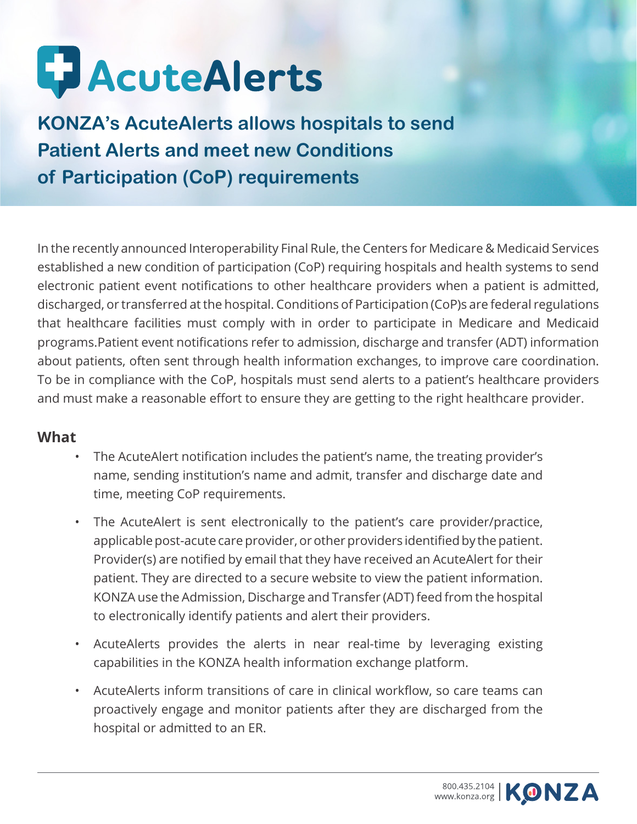

**KONZA's AcuteAlerts allows hospitals to send Patient Alerts and meet new Conditions of Participation (CoP) requirements**

In the recently announced Interoperability Final Rule, the Centers for Medicare & Medicaid Services established a new condition of participation (CoP) requiring hospitals and health systems to send electronic patient event notifications to other healthcare providers when a patient is admitted, discharged, or transferred at the hospital. Conditions of Participation (CoP)s are federal regulations that healthcare facilities must comply with in order to participate in Medicare and Medicaid programs.Patient event notifications refer to admission, discharge and transfer (ADT) information about patients, often sent through health information exchanges, to improve care coordination. To be in compliance with the CoP, hospitals must send alerts to a patient's healthcare providers and must make a reasonable effort to ensure they are getting to the right healthcare provider.

### **What**

- The AcuteAlert notification includes the patient's name, the treating provider's name, sending institution's name and admit, transfer and discharge date and time, meeting CoP requirements.
- The AcuteAlert is sent electronically to the patient's care provider/practice, applicable post-acute care provider, or other providers identified by the patient. Provider(s) are notified by email that they have received an AcuteAlert for their patient. They are directed to a secure website to view the patient information. KONZA use the Admission, Discharge and Transfer (ADT) feed from the hospital to electronically identify patients and alert their providers.
- AcuteAlerts provides the alerts in near real-time by leveraging existing capabilities in the KONZA health information exchange platform.
- AcuteAlerts inform transitions of care in clinical workflow, so care teams can proactively engage and monitor patients after they are discharged from the hospital or admitted to an ER.